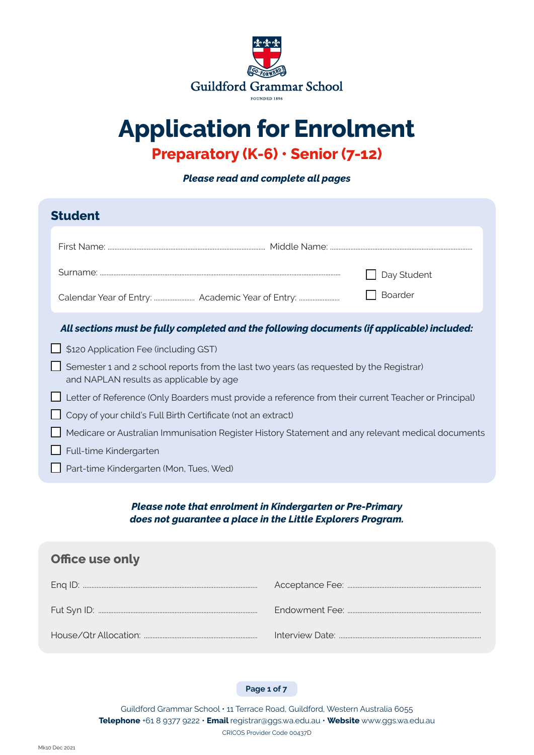

# **Application for Enrolment**

## **Preparatory (K-6) • Senior (7-12)**

*Please read and complete all pages*

| <b>Student</b>         |                                                                                                                                    |  |  |
|------------------------|------------------------------------------------------------------------------------------------------------------------------------|--|--|
|                        |                                                                                                                                    |  |  |
|                        | Day Student                                                                                                                        |  |  |
|                        | Boarder                                                                                                                            |  |  |
|                        | All sections must be fully completed and the following documents (if applicable) included:                                         |  |  |
|                        | \$120 Application Fee (including GST)                                                                                              |  |  |
|                        | Semester 1 and 2 school reports from the last two years (as requested by the Registrar)<br>and NAPLAN results as applicable by age |  |  |
|                        | Letter of Reference (Only Boarders must provide a reference from their current Teacher or Principal)                               |  |  |
|                        | Copy of your child's Full Birth Certificate (not an extract)                                                                       |  |  |
|                        | Medicare or Australian Immunisation Register History Statement and any relevant medical documents                                  |  |  |
| Full-time Kindergarten |                                                                                                                                    |  |  |
|                        | Part-time Kindergarten (Mon, Tues, Wed)                                                                                            |  |  |

#### *Please note that enrolment in Kindergarten or Pre-Primary does not guarantee a place in the Little Explorers Program.*

| <b>Office use only</b> |  |  |  |
|------------------------|--|--|--|
|                        |  |  |  |
|                        |  |  |  |
|                        |  |  |  |

**Page 1 of 7**

Guildford Grammar School • 11 Terrace Road, Guildford, Western Australia 6055 **Telephone** +61 8 9377 9222 • **Email** registrar@ggs.wa.edu.au • **Website** www.ggs.wa.edu.au CRICOS Provider Code 00437D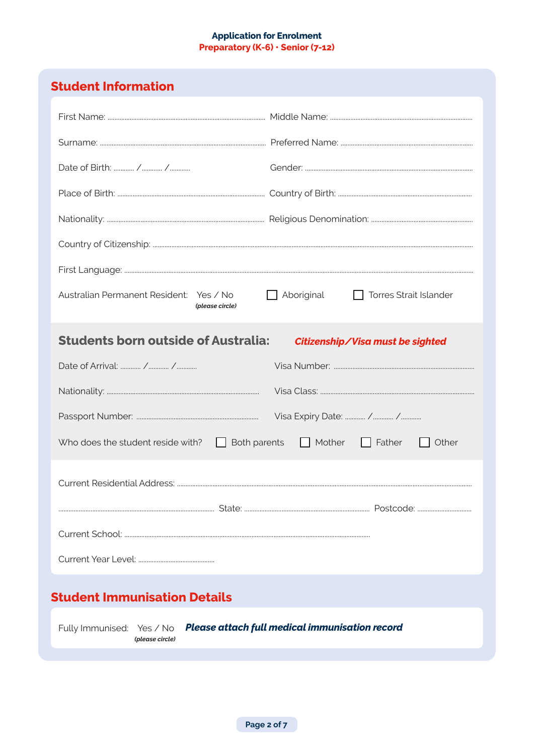#### **Application for Enrolment** Preparatory (K-6) · Senior (7-12)

## **Student Information**

| Australian Permanent Resident: Yes / No<br>(please circle)                                  | Aboriginal<br>Torres Strait Islander |  |  |
|---------------------------------------------------------------------------------------------|--------------------------------------|--|--|
| <b>Students born outside of Australia:</b>                                                  | Citizenship/Visa must be sighted     |  |  |
|                                                                                             |                                      |  |  |
|                                                                                             |                                      |  |  |
|                                                                                             |                                      |  |  |
| Who does the student reside with?<br>Both parents<br>$\blacksquare$                         | Mother<br>$\Box$ Father<br>    Other |  |  |
|                                                                                             |                                      |  |  |
|                                                                                             |                                      |  |  |
|                                                                                             |                                      |  |  |
|                                                                                             |                                      |  |  |
| <b>Student Immunisation Details</b>                                                         |                                      |  |  |
| Fully Immunised: Yes / No Please attach full medical immunisation record<br>(please circle) |                                      |  |  |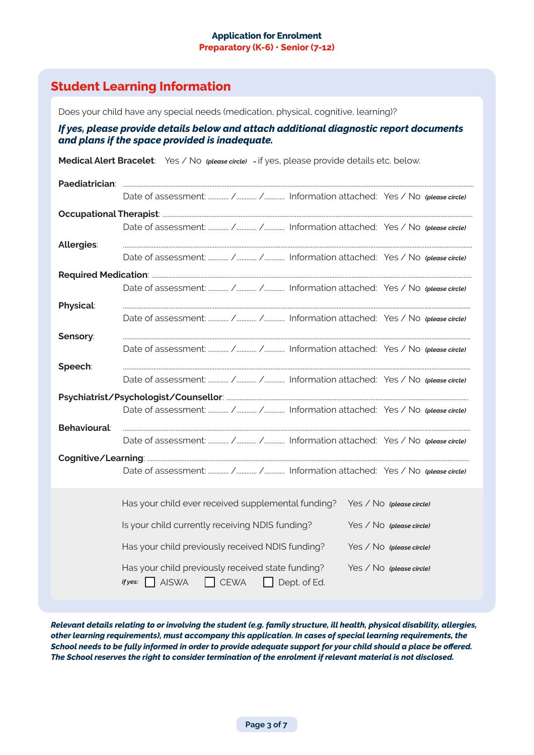#### **Application for Enrolment Preparatory (K-6) • Senior (7-12)**

## **Student Learning Information**

Does your child have any special needs (medication, physical, cognitive, learning)?

#### *If yes, please provide details below and attach additional diagnostic report documents and plans if the space provided is inadequate.*

**Medical Alert Bracelet**: Yes / No *(please circle) –* if yes, please provide details etc. below. Paediatrician Date of assessment: ............ /............ /............ Information attached: Yes / No *(please circle)* **Occupational Therapist**: ....................................................................................................................................................................................... Date of assessment: ............ /............ /............ Information attached: Yes / No *(please circle)* **Allergies**: .............................................................................................................................................................................................................. Date of assessment: ............ /............ /............ Information attached: Yes / No *(please circle)* **Required Medication**: ............................................................................................................................................................................................. Date of assessment: ............ /............ /............ Information attached: Yes / No *(please circle)* **Physical**: ............................................................................................................................................................................................................. Date of assessment: ............ /............ /............ Information attached: Yes / No *(please circle)* **Sensory**: ............................................................................................................................................................................................................. Date of assessment: ............ /............ /............ Information attached: Yes / No *(please circle)* **Speech**: ............................................................................................................................................................................................................. Date of assessment: ............ /............ /............ Information attached: Yes / No *(please circle)* **Psychiatrist/Psychologist/Counsellor**: ............................................................................................................................................... Date of assessment: ............ /............ /............ Information attached: Yes / No *(please circle)* **Behavioural**: ............................................................................................................................................................................................................. Date of assessment: ............ /............ /............ Information attached: Yes / No *(please circle)* **Cognitive/Learning**: .............................................................................................................................................................................................. Date of assessment: ............ /............ /............ Information attached: Yes / No *(please circle)* Has your child ever received supplemental funding? Yes / No *(please circle)* Is your child currently receiving NDIS funding? Yes / No *(please circle)* Has your child previously received NDIS funding? Yes / No *(please circle)* Has your child previously received state funding? Yes / No *(please circle)*  $if yes: \n\bigcap$  AISWA  $\bigcap$  CEWA  $\bigcap$  Dept. of Ed.

*Relevant details relating to or involving the student (e.g. family structure, ill health, physical disability, allergies, other learning requirements), must accompany this application. In cases of special learning requirements, the School needs to be fully informed in order to provide adequate support for your child should a place be offered. The School reserves the right to consider termination of the enrolment if relevant material is not disclosed.*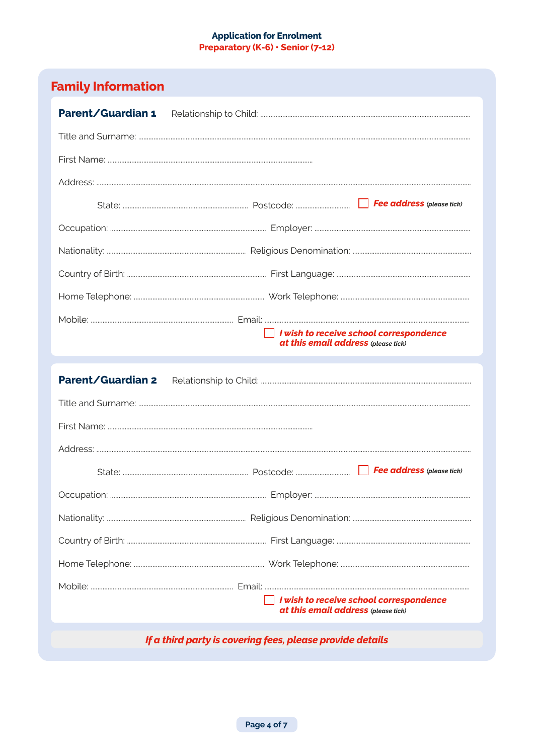#### **Application for Enrolment** Preparatory (K-6) · Senior (7-12)

| Parent/Guardian 1        |                                                                                |  |  |
|--------------------------|--------------------------------------------------------------------------------|--|--|
|                          |                                                                                |  |  |
|                          |                                                                                |  |  |
|                          |                                                                                |  |  |
|                          |                                                                                |  |  |
|                          |                                                                                |  |  |
|                          |                                                                                |  |  |
|                          |                                                                                |  |  |
|                          |                                                                                |  |  |
|                          |                                                                                |  |  |
|                          | I wish to receive school correspondence<br>at this email address (please tick) |  |  |
| <b>Parent/Guardian 2</b> |                                                                                |  |  |
|                          |                                                                                |  |  |
|                          |                                                                                |  |  |
|                          |                                                                                |  |  |
|                          |                                                                                |  |  |
|                          |                                                                                |  |  |
|                          |                                                                                |  |  |
|                          |                                                                                |  |  |
|                          |                                                                                |  |  |
|                          |                                                                                |  |  |
|                          |                                                                                |  |  |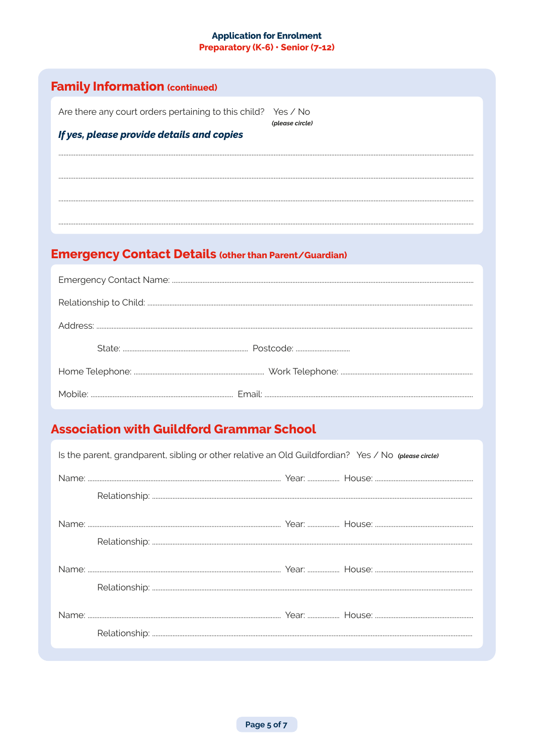#### **Application for Enrolment** Preparatory (K-6) · Senior (7-12)

| <b>Family Information (continued)</b>                         |                                                               |
|---------------------------------------------------------------|---------------------------------------------------------------|
| Are there any court orders pertaining to this child? Yes / No |                                                               |
| If yes, please provide details and copies                     | (please circle)                                               |
|                                                               |                                                               |
|                                                               |                                                               |
|                                                               |                                                               |
|                                                               |                                                               |
|                                                               |                                                               |
|                                                               |                                                               |
|                                                               | <b>Emergency Contact Details (other than Parent/Guardian)</b> |
|                                                               |                                                               |
|                                                               |                                                               |
|                                                               |                                                               |
|                                                               |                                                               |
|                                                               |                                                               |
|                                                               |                                                               |

| Is the parent, grandparent, sibling or other relative an Old Guildfordian? Yes / No (please circle) |  |  |  |
|-----------------------------------------------------------------------------------------------------|--|--|--|
|                                                                                                     |  |  |  |
|                                                                                                     |  |  |  |
|                                                                                                     |  |  |  |
|                                                                                                     |  |  |  |
|                                                                                                     |  |  |  |
|                                                                                                     |  |  |  |
|                                                                                                     |  |  |  |
|                                                                                                     |  |  |  |
|                                                                                                     |  |  |  |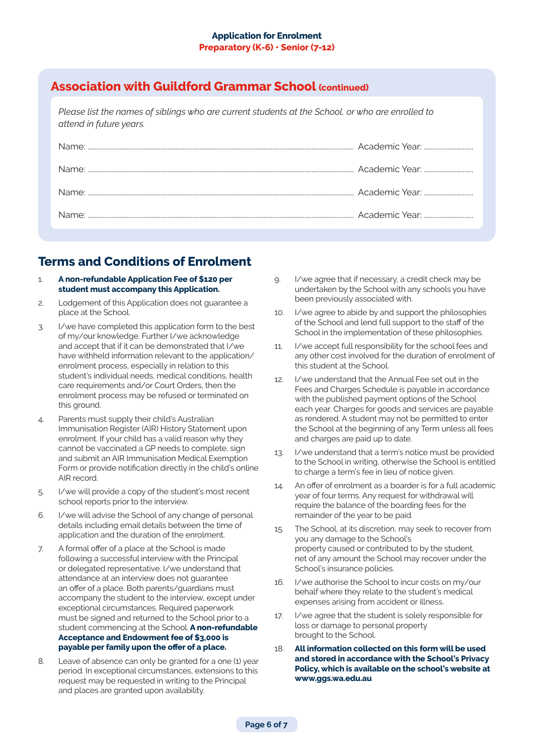## **Association with Guildford Grammar School (continued)**

*Please list the names of siblings who are current students at the School, or who are enrolled to attend in future years.*

| Name: |  |
|-------|--|
| Name: |  |
|       |  |
|       |  |

## **Terms and Conditions of Enrolment**

- 1. **A non-refundable Application Fee of \$120 per student must accompany this Application.**
- 2. Lodgement of this Application does not guarantee a place at the School.
- 3. I/we have completed this application form to the best of my/our knowledge. Further I/we acknowledge and accept that if it can be demonstrated that I/we have withheld information relevant to the application/ enrolment process, especially in relation to this student's individual needs, medical conditions, health care requirements and/or Court Orders, then the enrolment process may be refused or terminated on this ground.
- 4. Parents must supply their child's Australian Immunisation Register (AIR) History Statement upon enrolment. If your child has a valid reason why they cannot be vaccinated a GP needs to complete, sign and submit an AIR Immunisation Medical Exemption Form or provide notification directly in the child's online AIR record.
- 5. I/we will provide a copy of the student's most recent school reports prior to the interview.
- 6. I/we will advise the School of any change of personal details including email details between the time of application and the duration of the enrolment.
- 7. A formal offer of a place at the School is made following a successful interview with the Principal or delegated representative. I/we understand that attendance at an interview does not guarantee an offer of a place. Both parents/guardians must accompany the student to the interview, except under exceptional circumstances. Required paperwork must be signed and returned to the School prior to a student commencing at the School. **A non-refundable Acceptance and Endowment fee of \$3,000 is payable per family upon the offer of a place.**
- 8. Leave of absence can only be granted for a one (1) year period. In exceptional circumstances, extensions to this request may be requested in writing to the Principal and places are granted upon availability.
- 9. I/we agree that if necessary, a credit check may be undertaken by the School with any schools you have been previously associated with.
- 10. I/we agree to abide by and support the philosophies of the School and lend full support to the staff of the School in the implementation of these philosophies.
- 11. I/we accept full responsibility for the school fees and any other cost involved for the duration of enrolment of this student at the School.
- 12. I/we understand that the Annual Fee set out in the Fees and Charges Schedule is payable in accordance with the published payment options of the School each year. Charges for goods and services are payable as rendered. A student may not be permitted to enter the School at the beginning of any Term unless all fees and charges are paid up to date.
- 13. I/we understand that a term's notice must be provided to the School in writing, otherwise the School is entitled to charge a term's fee in lieu of notice given.
- 14. An offer of enrolment as a boarder is for a full academic year of four terms. Any request for withdrawal will require the balance of the boarding fees for the remainder of the year to be paid.
- 15. The School, at its discretion, may seek to recover from you any damage to the School's property caused or contributed to by the student, net of any amount the School may recover under the School's insurance policies.
- 16. I/we authorise the School to incur costs on my/our behalf where they relate to the student's medical expenses arising from accident or illness.
- 17. I/we agree that the student is solely responsible for loss or damage to personal property brought to the School.
- 18. **All information collected on this form will be used and stored in accordance with the School's Privacy Policy, which is available on the school's website at www.ggs.wa.edu.au**